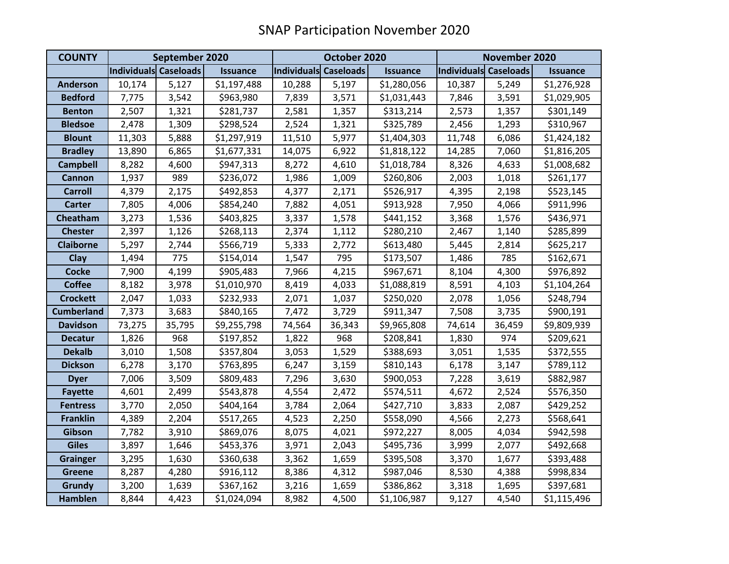| <b>COUNTY</b>     | September 2020        |        |                 | October 2020          |        |                 | November 2020         |        |                 |
|-------------------|-----------------------|--------|-----------------|-----------------------|--------|-----------------|-----------------------|--------|-----------------|
|                   | Individuals Caseloads |        | <b>Issuance</b> | Individuals Caseloads |        | <b>Issuance</b> | Individuals Caseloads |        | <b>Issuance</b> |
| <b>Anderson</b>   | 10,174                | 5,127  | \$1,197,488     | 10,288                | 5,197  | \$1,280,056     | 10,387                | 5,249  | \$1,276,928     |
| <b>Bedford</b>    | 7,775                 | 3,542  | \$963,980       | 7,839                 | 3,571  | \$1,031,443     | 7,846                 | 3,591  | \$1,029,905     |
| <b>Benton</b>     | 2,507                 | 1,321  | \$281,737       | 2,581                 | 1,357  | \$313,214       | 2,573                 | 1,357  | \$301,149       |
| <b>Bledsoe</b>    | 2,478                 | 1,309  | \$298,524       | 2,524                 | 1,321  | \$325,789       | 2,456                 | 1,293  | \$310,967       |
| <b>Blount</b>     | 11,303                | 5,888  | \$1,297,919     | 11,510                | 5,977  | \$1,404,303     | 11,748                | 6,086  | \$1,424,182     |
| <b>Bradley</b>    | 13,890                | 6,865  | \$1,677,331     | 14,075                | 6,922  | \$1,818,122     | 14,285                | 7,060  | \$1,816,205     |
| <b>Campbell</b>   | 8,282                 | 4,600  | \$947,313       | 8,272                 | 4,610  | \$1,018,784     | 8,326                 | 4,633  | \$1,008,682     |
| <b>Cannon</b>     | 1,937                 | 989    | \$236,072       | 1,986                 | 1,009  | \$260,806       | 2,003                 | 1,018  | \$261,177       |
| <b>Carroll</b>    | 4,379                 | 2,175  | \$492,853       | 4,377                 | 2,171  | \$526,917       | 4,395                 | 2,198  | \$523,145       |
| <b>Carter</b>     | 7,805                 | 4,006  | \$854,240       | 7,882                 | 4,051  | \$913,928       | 7,950                 | 4,066  | \$911,996       |
| Cheatham          | 3,273                 | 1,536  | \$403,825       | 3,337                 | 1,578  | \$441,152       | 3,368                 | 1,576  | \$436,971       |
| <b>Chester</b>    | 2,397                 | 1,126  | \$268,113       | 2,374                 | 1,112  | \$280,210       | 2,467                 | 1,140  | \$285,899       |
| <b>Claiborne</b>  | 5,297                 | 2,744  | \$566,719       | 5,333                 | 2,772  | \$613,480       | 5,445                 | 2,814  | \$625,217       |
| Clay              | 1,494                 | 775    | \$154,014       | 1,547                 | 795    | \$173,507       | 1,486                 | 785    | \$162,671       |
| <b>Cocke</b>      | 7,900                 | 4,199  | \$905,483       | 7,966                 | 4,215  | \$967,671       | 8,104                 | 4,300  | \$976,892       |
| <b>Coffee</b>     | 8,182                 | 3,978  | \$1,010,970     | 8,419                 | 4,033  | \$1,088,819     | 8,591                 | 4,103  | \$1,104,264     |
| <b>Crockett</b>   | 2,047                 | 1,033  | \$232,933       | 2,071                 | 1,037  | \$250,020       | 2,078                 | 1,056  | \$248,794       |
| <b>Cumberland</b> | 7,373                 | 3,683  | \$840,165       | 7,472                 | 3,729  | \$911,347       | 7,508                 | 3,735  | \$900,191       |
| <b>Davidson</b>   | 73,275                | 35,795 | \$9,255,798     | 74,564                | 36,343 | \$9,965,808     | 74,614                | 36,459 | \$9,809,939     |
| <b>Decatur</b>    | 1,826                 | 968    | \$197,852       | 1,822                 | 968    | \$208,841       | 1,830                 | 974    | \$209,621       |
| <b>Dekalb</b>     | 3,010                 | 1,508  | \$357,804       | 3,053                 | 1,529  | \$388,693       | 3,051                 | 1,535  | \$372,555       |
| <b>Dickson</b>    | 6,278                 | 3,170  | \$763,895       | 6,247                 | 3,159  | \$810,143       | 6,178                 | 3,147  | \$789,112       |
| <b>Dyer</b>       | 7,006                 | 3,509  | \$809,483       | 7,296                 | 3,630  | \$900,053       | 7,228                 | 3,619  | \$882,987       |
| <b>Fayette</b>    | 4,601                 | 2,499  | \$543,878       | 4,554                 | 2,472  | \$574,511       | 4,672                 | 2,524  | \$576,350       |
| <b>Fentress</b>   | 3,770                 | 2,050  | \$404,164       | 3,784                 | 2,064  | \$427,710       | 3,833                 | 2,087  | \$429,252       |
| <b>Franklin</b>   | 4,389                 | 2,204  | \$517,265       | 4,523                 | 2,250  | \$558,090       | 4,566                 | 2,273  | \$568,641       |
| Gibson            | 7,782                 | 3,910  | \$869,076       | 8,075                 | 4,021  | \$972,227       | 8,005                 | 4,034  | \$942,598       |
| <b>Giles</b>      | 3,897                 | 1,646  | \$453,376       | 3,971                 | 2,043  | \$495,736       | 3,999                 | 2,077  | \$492,668       |
| <b>Grainger</b>   | 3,295                 | 1,630  | \$360,638       | 3,362                 | 1,659  | \$395,508       | 3,370                 | 1,677  | \$393,488       |
| <b>Greene</b>     | 8,287                 | 4,280  | \$916,112       | 8,386                 | 4,312  | \$987,046       | 8,530                 | 4,388  | \$998,834       |
| <b>Grundy</b>     | 3,200                 | 1,639  | \$367,162       | 3,216                 | 1,659  | \$386,862       | 3,318                 | 1,695  | \$397,681       |
| <b>Hamblen</b>    | 8,844                 | 4,423  | \$1,024,094     | 8,982                 | 4,500  | \$1,106,987     | 9,127                 | 4,540  | \$1,115,496     |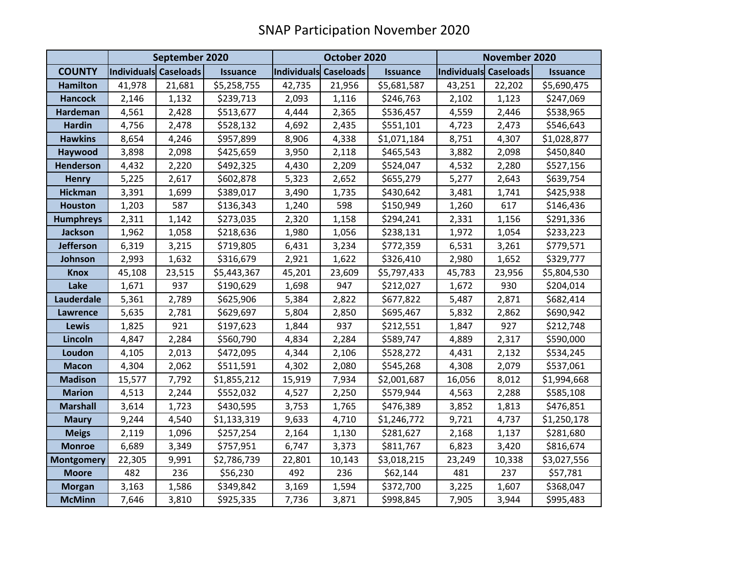|                   | September 2020        |        |                 | October 2020          |        |                 | November 2020         |        |                 |
|-------------------|-----------------------|--------|-----------------|-----------------------|--------|-----------------|-----------------------|--------|-----------------|
| <b>COUNTY</b>     | Individuals Caseloads |        | <b>Issuance</b> | Individuals Caseloads |        | <b>Issuance</b> | Individuals Caseloads |        | <b>Issuance</b> |
| <b>Hamilton</b>   | 41,978                | 21,681 | \$5,258,755     | 42,735                | 21,956 | \$5,681,587     | 43,251                | 22,202 | \$5,690,475     |
| <b>Hancock</b>    | 2,146                 | 1,132  | \$239,713       | 2,093                 | 1,116  | \$246,763       | 2,102                 | 1,123  | \$247,069       |
| <b>Hardeman</b>   | 4,561                 | 2,428  | \$513,677       | 4,444                 | 2,365  | \$536,457       | 4,559                 | 2,446  | \$538,965       |
| <b>Hardin</b>     | 4,756                 | 2,478  | \$528,132       | 4,692                 | 2,435  | \$551,101       | 4,723                 | 2,473  | \$546,643       |
| <b>Hawkins</b>    | 8,654                 | 4,246  | \$957,899       | 8,906                 | 4,338  | \$1,071,184     | 8,751                 | 4,307  | \$1,028,877     |
| Haywood           | 3,898                 | 2,098  | \$425,659       | 3,950                 | 2,118  | \$465,543       | 3,882                 | 2,098  | \$450,840       |
| <b>Henderson</b>  | 4,432                 | 2,220  | \$492,325       | 4,430                 | 2,209  | \$524,047       | 4,532                 | 2,280  | \$527,156       |
| <b>Henry</b>      | 5,225                 | 2,617  | \$602,878       | 5,323                 | 2,652  | \$655,279       | 5,277                 | 2,643  | \$639,754       |
| <b>Hickman</b>    | 3,391                 | 1,699  | \$389,017       | 3,490                 | 1,735  | \$430,642       | 3,481                 | 1,741  | \$425,938       |
| <b>Houston</b>    | 1,203                 | 587    | \$136,343       | 1,240                 | 598    | \$150,949       | 1,260                 | 617    | \$146,436       |
| <b>Humphreys</b>  | 2,311                 | 1,142  | \$273,035       | 2,320                 | 1,158  | \$294,241       | 2,331                 | 1,156  | \$291,336       |
| <b>Jackson</b>    | 1,962                 | 1,058  | \$218,636       | 1,980                 | 1,056  | \$238,131       | 1,972                 | 1,054  | \$233,223       |
| <b>Jefferson</b>  | 6,319                 | 3,215  | \$719,805       | 6,431                 | 3,234  | \$772,359       | 6,531                 | 3,261  | \$779,571       |
| Johnson           | 2,993                 | 1,632  | \$316,679       | 2,921                 | 1,622  | \$326,410       | 2,980                 | 1,652  | \$329,777       |
| <b>Knox</b>       | 45,108                | 23,515 | \$5,443,367     | 45,201                | 23,609 | \$5,797,433     | 45,783                | 23,956 | \$5,804,530     |
| Lake              | 1,671                 | 937    | \$190,629       | 1,698                 | 947    | \$212,027       | 1,672                 | 930    | \$204,014       |
| Lauderdale        | 5,361                 | 2,789  | \$625,906       | 5,384                 | 2,822  | \$677,822       | 5,487                 | 2,871  | \$682,414       |
| <b>Lawrence</b>   | 5,635                 | 2,781  | \$629,697       | 5,804                 | 2,850  | \$695,467       | 5,832                 | 2,862  | \$690,942       |
| Lewis             | 1,825                 | 921    | \$197,623       | 1,844                 | 937    | \$212,551       | 1,847                 | 927    | \$212,748       |
| Lincoln           | 4,847                 | 2,284  | \$560,790       | 4,834                 | 2,284  | \$589,747       | 4,889                 | 2,317  | \$590,000       |
| Loudon            | 4,105                 | 2,013  | \$472,095       | 4,344                 | 2,106  | \$528,272       | 4,431                 | 2,132  | \$534,245       |
| <b>Macon</b>      | 4,304                 | 2,062  | \$511,591       | 4,302                 | 2,080  | \$545,268       | 4,308                 | 2,079  | \$537,061       |
| <b>Madison</b>    | 15,577                | 7,792  | \$1,855,212     | 15,919                | 7,934  | \$2,001,687     | 16,056                | 8,012  | \$1,994,668     |
| <b>Marion</b>     | 4,513                 | 2,244  | \$552,032       | 4,527                 | 2,250  | \$579,944       | 4,563                 | 2,288  | \$585,108       |
| <b>Marshall</b>   | 3,614                 | 1,723  | \$430,595       | 3,753                 | 1,765  | \$476,389       | 3,852                 | 1,813  | \$476,851       |
| <b>Maury</b>      | 9,244                 | 4,540  | \$1,133,319     | 9,633                 | 4,710  | \$1,246,772     | 9,721                 | 4,737  | \$1,250,178     |
| <b>Meigs</b>      | 2,119                 | 1,096  | \$257,254       | 2,164                 | 1,130  | \$281,627       | 2,168                 | 1,137  | \$281,680       |
| <b>Monroe</b>     | 6,689                 | 3,349  | \$757,951       | 6,747                 | 3,373  | \$811,767       | 6,823                 | 3,420  | \$816,674       |
| <b>Montgomery</b> | 22,305                | 9,991  | \$2,786,739     | 22,801                | 10,143 | \$3,018,215     | 23,249                | 10,338 | \$3,027,556     |
| <b>Moore</b>      | 482                   | 236    | \$56,230        | 492                   | 236    | \$62,144        | 481                   | 237    | \$57,781        |
| <b>Morgan</b>     | 3,163                 | 1,586  | \$349,842       | 3,169                 | 1,594  | \$372,700       | 3,225                 | 1,607  | \$368,047       |
| <b>McMinn</b>     | 7,646                 | 3,810  | \$925,335       | 7,736                 | 3,871  | \$998,845       | 7,905                 | 3,944  | \$995,483       |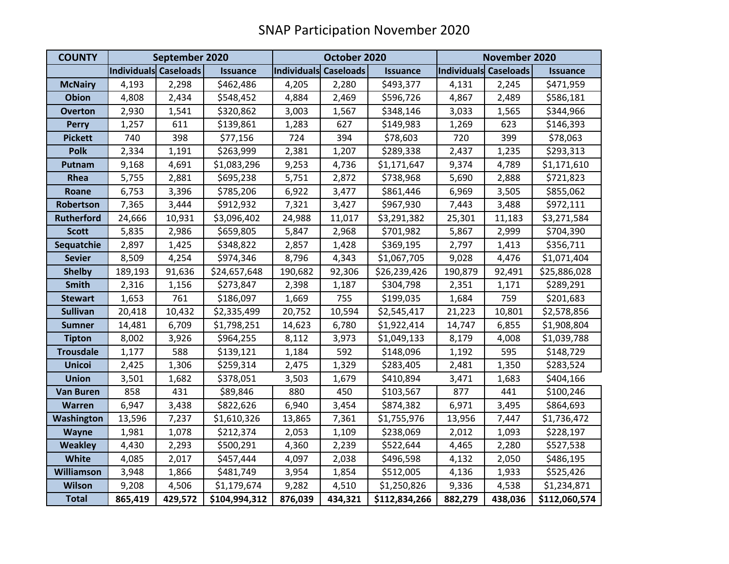| <b>COUNTY</b>     | September 2020        |         |                 | October 2020                 |         |                 | November 2020         |         |                 |
|-------------------|-----------------------|---------|-----------------|------------------------------|---------|-----------------|-----------------------|---------|-----------------|
|                   | Individuals Caseloads |         | <b>Issuance</b> | <b>Individuals Caseloads</b> |         | <b>Issuance</b> | Individuals Caseloads |         | <b>Issuance</b> |
| <b>McNairy</b>    | 4,193                 | 2,298   | \$462,486       | 4,205                        | 2,280   | \$493,377       | 4,131                 | 2,245   | \$471,959       |
| <b>Obion</b>      | 4,808                 | 2,434   | \$548,452       | 4,884                        | 2,469   | \$596,726       | 4,867                 | 2,489   | \$586,181       |
| <b>Overton</b>    | 2,930                 | 1,541   | \$320,862       | 3,003                        | 1,567   | \$348,146       | 3,033                 | 1,565   | \$344,966       |
| <b>Perry</b>      | 1,257                 | 611     | \$139,861       | 1,283                        | 627     | \$149,983       | 1,269                 | 623     | \$146,393       |
| <b>Pickett</b>    | 740                   | 398     | \$77,156        | 724                          | 394     | \$78,603        | 720                   | 399     | \$78,063        |
| <b>Polk</b>       | 2,334                 | 1,191   | \$263,999       | 2,381                        | 1,207   | \$289,338       | 2,437                 | 1,235   | \$293,313       |
| Putnam            | 9,168                 | 4,691   | \$1,083,296     | 9,253                        | 4,736   | \$1,171,647     | 9,374                 | 4,789   | \$1,171,610     |
| Rhea              | 5,755                 | 2,881   | \$695,238       | 5,751                        | 2,872   | \$738,968       | 5,690                 | 2,888   | \$721,823       |
| Roane             | 6,753                 | 3,396   | \$785,206       | 6,922                        | 3,477   | \$861,446       | 6,969                 | 3,505   | \$855,062       |
| Robertson         | 7,365                 | 3,444   | \$912,932       | 7,321                        | 3,427   | \$967,930       | 7,443                 | 3,488   | \$972,111       |
| <b>Rutherford</b> | 24,666                | 10,931  | \$3,096,402     | 24,988                       | 11,017  | \$3,291,382     | 25,301                | 11,183  | \$3,271,584     |
| <b>Scott</b>      | 5,835                 | 2,986   | \$659,805       | 5,847                        | 2,968   | \$701,982       | 5,867                 | 2,999   | \$704,390       |
| Sequatchie        | 2,897                 | 1,425   | \$348,822       | 2,857                        | 1,428   | \$369,195       | 2,797                 | 1,413   | \$356,711       |
| <b>Sevier</b>     | 8,509                 | 4,254   | \$974,346       | 8,796                        | 4,343   | \$1,067,705     | 9,028                 | 4,476   | \$1,071,404     |
| <b>Shelby</b>     | 189,193               | 91,636  | \$24,657,648    | 190,682                      | 92,306  | \$26,239,426    | 190,879               | 92,491  | \$25,886,028    |
| <b>Smith</b>      | 2,316                 | 1,156   | \$273,847       | 2,398                        | 1,187   | \$304,798       | 2,351                 | 1,171   | \$289,291       |
| <b>Stewart</b>    | 1,653                 | 761     | \$186,097       | 1,669                        | 755     | \$199,035       | 1,684                 | 759     | \$201,683       |
| <b>Sullivan</b>   | 20,418                | 10,432  | \$2,335,499     | 20,752                       | 10,594  | \$2,545,417     | 21,223                | 10,801  | \$2,578,856     |
| Sumner            | 14,481                | 6,709   | \$1,798,251     | 14,623                       | 6,780   | \$1,922,414     | 14,747                | 6,855   | \$1,908,804     |
| <b>Tipton</b>     | 8,002                 | 3,926   | \$964,255       | 8,112                        | 3,973   | \$1,049,133     | 8,179                 | 4,008   | \$1,039,788     |
| <b>Trousdale</b>  | 1,177                 | 588     | \$139,121       | 1,184                        | 592     | \$148,096       | 1,192                 | 595     | \$148,729       |
| <b>Unicoi</b>     | 2,425                 | 1,306   | \$259,314       | 2,475                        | 1,329   | \$283,405       | 2,481                 | 1,350   | \$283,524       |
| <b>Union</b>      | 3,501                 | 1,682   | \$378,051       | 3,503                        | 1,679   | \$410,894       | 3,471                 | 1,683   | \$404,166       |
| <b>Van Buren</b>  | 858                   | 431     | \$89,846        | 880                          | 450     | \$103,567       | 877                   | 441     | \$100,246       |
| Warren            | 6,947                 | 3,438   | \$822,626       | 6,940                        | 3,454   | \$874,382       | 6,971                 | 3,495   | \$864,693       |
| Washington        | 13,596                | 7,237   | \$1,610,326     | 13,865                       | 7,361   | \$1,755,976     | 13,956                | 7,447   | \$1,736,472     |
| Wayne             | 1,981                 | 1,078   | \$212,374       | 2,053                        | 1,109   | \$238,069       | 2,012                 | 1,093   | \$228,197       |
| <b>Weakley</b>    | 4,430                 | 2,293   | \$500,291       | 4,360                        | 2,239   | \$522,644       | 4,465                 | 2,280   | \$527,538       |
| <b>White</b>      | 4,085                 | 2,017   | \$457,444       | 4,097                        | 2,038   | \$496,598       | 4,132                 | 2,050   | \$486,195       |
| <b>Williamson</b> | 3,948                 | 1,866   | \$481,749       | 3,954                        | 1,854   | \$512,005       | 4,136                 | 1,933   | \$525,426       |
| <b>Wilson</b>     | 9,208                 | 4,506   | \$1,179,674     | 9,282                        | 4,510   | \$1,250,826     | 9,336                 | 4,538   | \$1,234,871     |
| <b>Total</b>      | 865,419               | 429,572 | \$104,994,312   | 876,039                      | 434,321 | \$112,834,266   | 882,279               | 438,036 | \$112,060,574   |